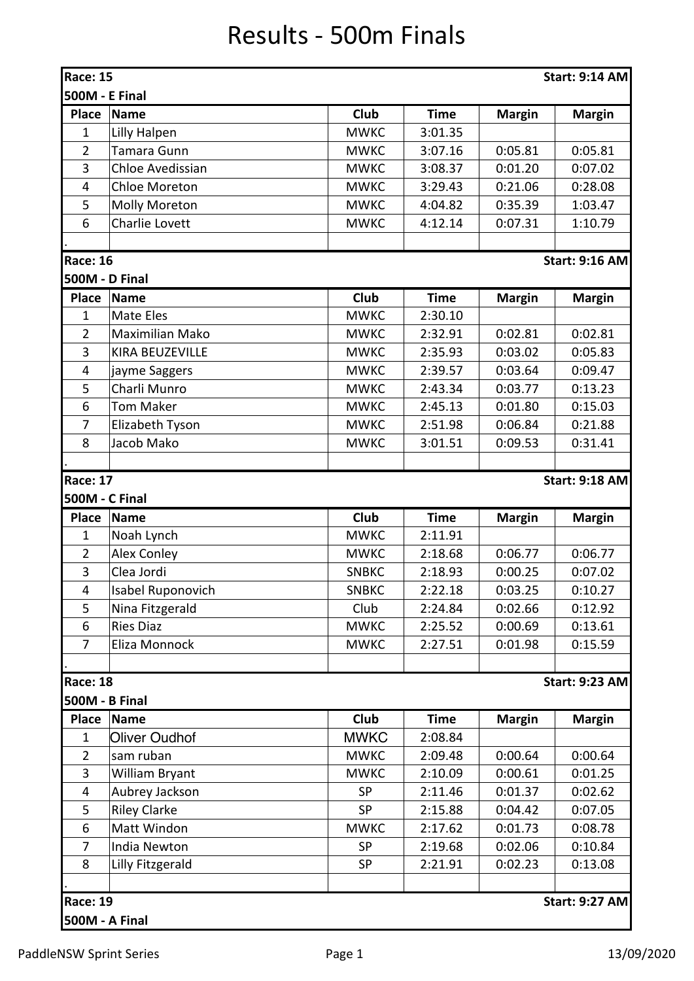## Results - 500m Finals

| Race: 15<br><b>Start: 9:14 AM</b>        |                         |              |             |               |                       |  |  |  |  |
|------------------------------------------|-------------------------|--------------|-------------|---------------|-----------------------|--|--|--|--|
| <b>500M - E Final</b>                    |                         |              |             |               |                       |  |  |  |  |
| <b>Place</b>                             | Name                    | <b>Club</b>  | <b>Time</b> | <b>Margin</b> | <b>Margin</b>         |  |  |  |  |
| 1                                        | Lilly Halpen            | <b>MWKC</b>  | 3:01.35     |               |                       |  |  |  |  |
| $\overline{2}$                           | <b>Tamara Gunn</b>      | <b>MWKC</b>  | 3:07.16     | 0:05.81       | 0:05.81               |  |  |  |  |
| 3                                        | <b>Chloe Avedissian</b> | <b>MWKC</b>  | 3:08.37     | 0:01.20       | 0:07.02               |  |  |  |  |
| $\overline{4}$                           | <b>Chloe Moreton</b>    | <b>MWKC</b>  | 3:29.43     | 0:21.06       | 0:28.08               |  |  |  |  |
| 5                                        | Molly Moreton           | <b>MWKC</b>  | 4:04.82     | 0:35.39       | 1:03.47               |  |  |  |  |
| 6                                        | Charlie Lovett          | <b>MWKC</b>  | 4:12.14     | 0:07.31       | 1:10.79               |  |  |  |  |
|                                          |                         |              |             |               |                       |  |  |  |  |
| <b>Race: 16</b><br><b>Start: 9:16 AM</b> |                         |              |             |               |                       |  |  |  |  |
| 500M - D Final                           |                         |              |             |               |                       |  |  |  |  |
| <b>Place</b>                             | Name                    | Club         | <b>Time</b> | <b>Margin</b> | <b>Margin</b>         |  |  |  |  |
| 1                                        | Mate Eles               | <b>MWKC</b>  | 2:30.10     |               |                       |  |  |  |  |
| $\overline{2}$                           | <b>Maximilian Mako</b>  | <b>MWKC</b>  | 2:32.91     | 0:02.81       | 0:02.81               |  |  |  |  |
| 3                                        | KIRA BEUZEVILLE         | <b>MWKC</b>  | 2:35.93     | 0:03.02       | 0:05.83               |  |  |  |  |
| 4                                        | jayme Saggers           | <b>MWKC</b>  | 2:39.57     | 0:03.64       | 0:09.47               |  |  |  |  |
| 5                                        | Charli Munro            | <b>MWKC</b>  | 2:43.34     | 0:03.77       | 0:13.23               |  |  |  |  |
| 6                                        | <b>Tom Maker</b>        | <b>MWKC</b>  | 2:45.13     | 0:01.80       | 0:15.03               |  |  |  |  |
| $\overline{7}$                           | Elizabeth Tyson         | <b>MWKC</b>  | 2:51.98     | 0:06.84       | 0:21.88               |  |  |  |  |
| 8                                        | Jacob Mako              | <b>MWKC</b>  | 3:01.51     | 0:09.53       | 0:31.41               |  |  |  |  |
|                                          |                         |              |             |               |                       |  |  |  |  |
| <b>Race: 17</b>                          |                         |              |             |               | <b>Start: 9:18 AM</b> |  |  |  |  |
| 500M - C Final                           |                         |              |             |               |                       |  |  |  |  |
| <b>Place</b>                             | Name                    | <b>Club</b>  | <b>Time</b> | <b>Margin</b> | <b>Margin</b>         |  |  |  |  |
| 1                                        | Noah Lynch              | <b>MWKC</b>  | 2:11.91     |               |                       |  |  |  |  |
| $\overline{2}$                           | <b>Alex Conley</b>      | <b>MWKC</b>  | 2:18.68     | 0:06.77       | 0:06.77               |  |  |  |  |
| 3                                        | Clea Jordi              | <b>SNBKC</b> | 2:18.93     | 0:00.25       | 0:07.02               |  |  |  |  |
| 4                                        | Isabel Ruponovich       | <b>SNBKC</b> | 2:22.18     | 0:03.25       | 0:10.27               |  |  |  |  |
| 5                                        | Nina Fitzgerald         | Club         | 2:24.84     | 0:02.66       | 0:12.92               |  |  |  |  |
| 6                                        | <b>Ries Diaz</b>        | <b>MWKC</b>  | 2:25.52     | 0:00.69       | 0:13.61               |  |  |  |  |
| 7                                        | Eliza Monnock           | <b>MWKC</b>  | 2:27.51     | 0:01.98       | 0:15.59               |  |  |  |  |
|                                          |                         |              |             |               |                       |  |  |  |  |
| <b>Race: 18</b>                          |                         |              |             |               | <b>Start: 9:23 AM</b> |  |  |  |  |
| 500M - B Final                           |                         |              |             |               |                       |  |  |  |  |
| <b>Place</b>                             | <b>Name</b>             | <b>Club</b>  | <b>Time</b> | <b>Margin</b> | <b>Margin</b>         |  |  |  |  |
| $\mathbf{1}$                             | <b>Oliver Oudhof</b>    | <b>MWKC</b>  | 2:08.84     |               |                       |  |  |  |  |
| 2                                        | sam ruban               | <b>MWKC</b>  | 2:09.48     | 0:00.64       | 0:00.64               |  |  |  |  |
| 3                                        | William Bryant          | <b>MWKC</b>  | 2:10.09     | 0:00.61       | 0:01.25               |  |  |  |  |
| 4                                        | Aubrey Jackson          | <b>SP</b>    | 2:11.46     | 0:01.37       | 0:02.62               |  |  |  |  |
| 5                                        | <b>Riley Clarke</b>     | <b>SP</b>    | 2:15.88     | 0:04.42       | 0:07.05               |  |  |  |  |
| 6                                        | Matt Windon             | <b>MWKC</b>  | 2:17.62     | 0:01.73       | 0:08.78               |  |  |  |  |
| 7                                        | India Newton            | <b>SP</b>    | 2:19.68     | 0:02.06       | 0:10.84               |  |  |  |  |
| 8                                        | Lilly Fitzgerald        | <b>SP</b>    | 2:21.91     | 0:02.23       | 0:13.08               |  |  |  |  |
|                                          |                         |              |             |               |                       |  |  |  |  |
| <b>Race: 19</b>                          |                         |              |             |               | <b>Start: 9:27 AM</b> |  |  |  |  |
| 500M - A Final                           |                         |              |             |               |                       |  |  |  |  |